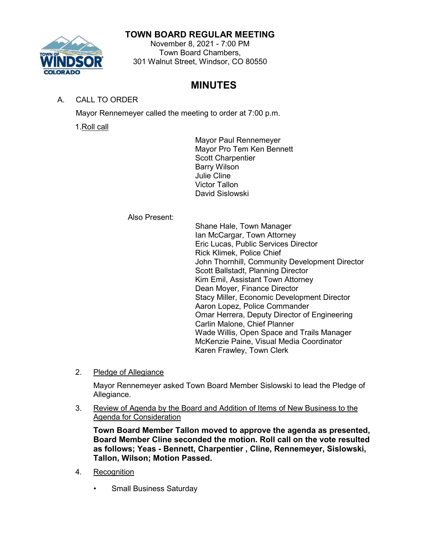# **TOWN BOARD REGULAR MEETING**



# November 8, 2021 - 7:00 PM Town Board Chambers, 301 Walnut Street, Windsor, CO 80550

# **MINUTES**

# A. CALL TO ORDER

Mayor Rennemeyer called the meeting to order at 7:00 p.m.

1.Roll call

Mayor Paul Rennemeyer Mayor Pro Tem Ken Bennett Scott Charpentier Barry Wilson Julie Cline Victor Tallon David Sislowski

Also Present:

Shane Hale, Town Manager Ian McCargar, Town Attorney Eric Lucas, Public Services Director Rick Klimek, Police Chief John Thornhill, Community Development Director Scott Ballstadt, Planning Director Kim Emil, Assistant Town Attorney Dean Moyer, Finance Director Stacy Miller, Economic Development Director Aaron Lopez, Police Commander Omar Herrera, Deputy Director of Engineering Carlin Malone, Chief Planner Wade Willis, Open Space and Trails Manager McKenzie Paine, Visual Media Coordinator Karen Frawley, Town Clerk

2. Pledge of Allegiance

Mayor Rennemeyer asked Town Board Member Sislowski to lead the Pledge of Allegiance.

3. Review of Agenda by the Board and Addition of Items of New Business to the Agenda for Consideration

**Town Board Member Tallon moved to approve the agenda as presented, Board Member Cline seconded the motion. Roll call on the vote resulted as follows; Yeas - Bennett, Charpentier , Cline, Rennemeyer, Sislowski, Tallon, Wilson; Motion Passed.**

- 4. Recognition
	- Small Business Saturday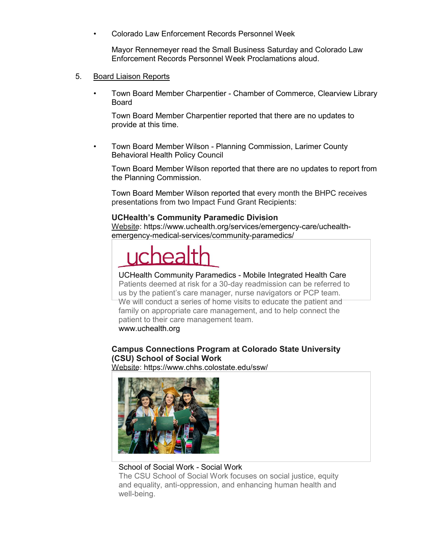• Colorado Law Enforcement Records Personnel Week

Mayor Rennemeyer read the Small Business Saturday and Colorado Law Enforcement Records Personnel Week Proclamations aloud.

- 5. Board Liaison Reports
	- Town Board Member Charpentier Chamber of Commerce, Clearview Library Board

Town Board Member Charpentier reported that there are no updates to provide at this time.

• Town Board Member Wilson - Planning Commission, Larimer County Behavioral Health Policy Council

Town Board Member Wilson reported that there are no updates to report from the Planning Commission.

Town Board Member Wilson reported that every month the BHPC receives presentations from two Impact Fund Grant Recipients:

# **UCHealth's Community Paramedic Division**

[Website: https://www.uchealth.org/services/emergency-care/uchealth](https://www.uchealth.org/services/emergency-care/uchealth-emergency-medical-services/community-paramedics/)[emergency-medical-services/community-paramedics/](https://www.uchealth.org/services/emergency-care/uchealth-emergency-medical-services/community-paramedics/)

#### [UCHealth Community Paramedics -](https://www.uchealth.org/services/emergency-care/uchealth-emergency-medical-services/community-paramedics/) Mobile Integrated Health Care

Patients deemed at risk for a 30-day readmission can be referred to us by the [patient's care manager, nurse n](https://www.uchealth.org/services/emergency-care/uchealth-emergency-medical-services/community-paramedics/)avigators or PCP team. We will conduct a series of home visits to educate the patient and family on appropriate care management, and to help connect the patient to their care management team. [www.uchealth.org](http://www.uchealth.org/)

# **Campus Connections Program at Colorado State University (CSU) School of Social Work**

Website:<https://www.chhs.colostate.edu/ssw/>



# [School of Social Work -](https://www.chhs.colostate.edu/ssw/) Social Work

The CSU School of Social Work focuses on social justice, equity and equality, anti-oppression, and enhancing human health and well-being.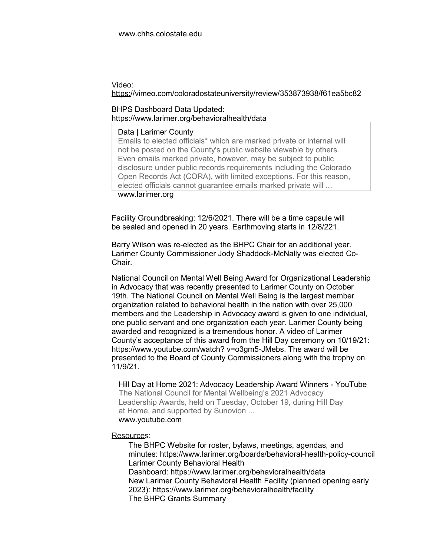#### Video:

#### <https://vimeo.com/coloradostateuniversity/review/353873938/f61ea5bc82>

#### BHPS Dashboard Data Updated: <https://www.larimer.org/behavioralhealth/data>

#### [Data | Larimer County](https://www.larimer.org/behavioralhealth/data)

Emails to elected officials\* which are marked private or internal will not be posted on the County's public website viewable by others. Even emails marked private, however, may be subject to public disclosure under public records requirements including the Colorado Open Records Act (CORA), with limited exceptions. For this reason, elected officials cannot guarantee emails marked private will ...

#### [www.larimer.org](http://www.larimer.org/)

Facility Groundbreaking: 12/6/2021. There will be a time capsule will be sealed and opened in 20 years. Earthmoving starts in 12/8/221.

Barry Wilson was re-elected as the BHPC Chair for an additional year. Larimer County Commissioner Jody Shaddock-McNally was elected Co-Chair.

National Council on Mental Well Being Award for Organizational Leadership in Advocacy that was recently presented to Larimer County on October 19th. The National Council on Mental Well Being is the largest member organization related to behavioral health in the nation with over 25,000 members and the Leadership in Advocacy award is given to one individual, one public servant and one organization each year. Larimer County being awarded and recognized is a tremendous honor. A video of Larimer County's acceptance [of this award from the Hill Day ceremony on 10/19/21:](https://www.youtube.com/watch?v=o3gm5-JMebs)  [https://www.youtube.com/watch?](https://www.youtube.com/watch?v=o3gm5-JMebs) [v=o3gm5-JMebs. The award will be](https://www.youtube.com/watch?v=o3gm5-JMebs)  [presented to the Board of County Commissioners](https://www.youtube.com/watch?v=o3gm5-JMebs) along with the trophy on 11/9/21.

[Hill Day at Home 2021: Advocacy Leadership Award Winners -](https://www.youtube.com/watch?v=o3gm5-JMebs) YouTube The National Council for Mental Wellbeing's 2021 Advocacy Leadership Awards, held on Tuesday, October 19, during Hill Day at Home, and supported by Sunovion ... [www.youtube.com](http://www.youtube.com/)

#### Resources:

The BHPC Website for roster, bylaws, meetings, agendas, and minutes:<https://www.larimer.org/boards/behavioral-health-policy-council> Larimer County Behavioral Health Dashboard:<https://www.larimer.org/behavioralhealth/data> New Larimer County Behavioral Health Facility (planned opening early 2023):<https://www.larimer.org/behavioralhealth/facility> The BHPC Grants Summary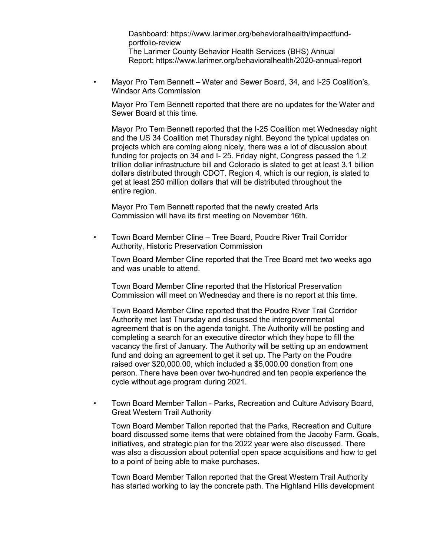Dashboard: [https://www.larimer.org/behavioralhealth/impactfund](https://www.larimer.org/behavioralhealth/impactfund-portfolio-review)[portfolio-review](https://www.larimer.org/behavioralhealth/impactfund-portfolio-review) The Larimer County Behavior Health Services (BHS) Annual Report:<https://www.larimer.org/behavioralhealth/2020-annual-report>

• Mayor Pro Tem Bennett – Water and Sewer Board, 34, and I-25 Coalition's, Windsor Arts Commission

Mayor Pro Tem Bennett reported that there are no updates for the Water and Sewer Board at this time.

Mayor Pro Tem Bennett reported that the I-25 Coalition met Wednesday night and the US 34 Coalition met Thursday night. Beyond the typical updates on projects which are coming along nicely, there was a lot of discussion about funding for projects on 34 and I- 25. Friday night, Congress passed the 1.2 trillion dollar infrastructure bill and Colorado is slated to get at least 3.1 billion dollars distributed through CDOT. Region 4, which is our region, is slated to get at least 250 million dollars that will be distributed throughout the entire region.

Mayor Pro Tem Bennett reported that the newly created Arts Commission will have its first meeting on November 16th.

• Town Board Member Cline – Tree Board, Poudre River Trail Corridor Authority, Historic Preservation Commission

Town Board Member Cline reported that the Tree Board met two weeks ago and was unable to attend.

Town Board Member Cline reported that the Historical Preservation Commission will meet on Wednesday and there is no report at this time.

Town Board Member Cline reported that the Poudre River Trail Corridor Authority met last Thursday and discussed the intergovernmental agreement that is on the agenda tonight. The Authority will be posting and completing a search for an executive director which they hope to fill the vacancy the first of January. The Authority will be setting up an endowment fund and doing an agreement to get it set up. The Party on the Poudre raised over \$20,000.00, which included a \$5,000.00 donation from one person. There have been over two-hundred and ten people experience the cycle without age program during 2021.

• Town Board Member Tallon - Parks, Recreation and Culture Advisory Board, Great Western Trail Authority

Town Board Member Tallon reported that the Parks, Recreation and Culture board discussed some items that were obtained from the Jacoby Farm. Goals, initiatives, and strategic plan for the 2022 year were also discussed. There was also a discussion about potential open space acquisitions and how to get to a point of being able to make purchases.

Town Board Member Tallon reported that the Great Western Trail Authority has started working to lay the concrete path. The Highland Hills development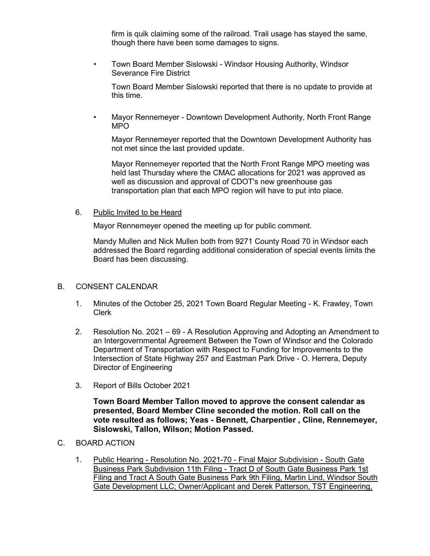firm is quik claiming some of the railroad. Trail usage has stayed the same, though there have been some damages to signs.

• Town Board Member Sislowski - Windsor Housing Authority, Windsor Severance Fire District

Town Board Member Sislowski reported that there is no update to provide at this time.

• Mayor Rennemeyer - Downtown Development Authority, North Front Range MPO

Mayor Rennemeyer reported that the Downtown Development Authority has not met since the last provided update.

Mayor Rennemeyer reported that the North Front Range MPO meeting was held last Thursday where the CMAC allocations for 2021 was approved as well as discussion and approval of CDOT's new greenhouse gas transportation plan that each MPO region will have to put into place.

#### 6. Public Invited to be Heard

Mayor Rennemeyer opened the meeting up for public comment.

Mandy Mullen and Nick Mullen both from 9271 County Road 70 in Windsor each addressed the Board regarding additional consideration of special events limits the Board has been discussing.

### B. CONSENT CALENDAR

- 1. Minutes of the October 25, 2021 Town Board Regular Meeting K. Frawley, Town Clerk
- 2. Resolution No. 2021 69 A Resolution Approving and Adopting an Amendment to an Intergovernmental Agreement Between the Town of Windsor and the Colorado Department of Transportation with Respect to Funding for Improvements to the Intersection of State Highway 257 and Eastman Park Drive - O. Herrera, Deputy Director of Engineering
- 3. Report of Bills October 2021

**Town Board Member Tallon moved to approve the consent calendar as presented, Board Member Cline seconded the motion. Roll call on the vote resulted as follows; Yeas - Bennett, Charpentier , Cline, Rennemeyer, Sislowski, Tallon, Wilson; Motion Passed.**

- C. BOARD ACTION
	- 1. Public Hearing Resolution No. 2021-70 Final Major Subdivision South Gate Business Park Subdivision 11th Filing - Tract D of South Gate Business Park 1st Filing and Tract A South Gate Business Park 9th Filing, Martin Lind, Windsor South Gate Development LLC; Owner/Applicant and Derek Patterson, TST Engineering,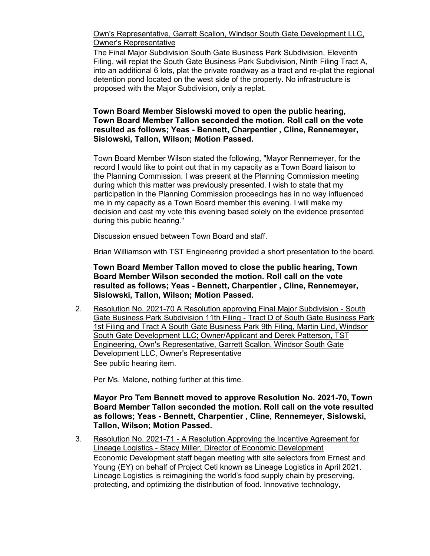Own's Representative, Garrett Scallon, Windsor South Gate Development LLC, Owner's Representative

The Final Major Subdivision South Gate Business Park Subdivision, Eleventh Filing, will replat the South Gate Business Park Subdivision, Ninth Filing Tract A, into an additional 6 lots, plat the private roadway as a tract and re-plat the regional detention pond located on the west side of the property. No infrastructure is proposed with the Major Subdivision, only a replat.

# **Town Board Member Sislowski moved to open the public hearing, Town Board Member Tallon seconded the motion. Roll call on the vote resulted as follows; Yeas - Bennett, Charpentier , Cline, Rennemeyer, Sislowski, Tallon, Wilson; Motion Passed.**

Town Board Member Wilson stated the following, "Mayor Rennemeyer, for the record I would like to point out that in my capacity as a Town Board liaison to the Planning Commission. I was present at the Planning Commission meeting during which this matter was previously presented. I wish to state that my participation in the Planning Commission proceedings has in no way influenced me in my capacity as a Town Board member this evening. I will make my decision and cast my vote this evening based solely on the evidence presented during this public hearing."

Discussion ensued between Town Board and staff.

Brian Williamson with TST Engineering provided a short presentation to the board.

**Town Board Member Tallon moved to close the public hearing, Town Board Member Wilson seconded the motion. Roll call on the vote resulted as follows; Yeas - Bennett, Charpentier , Cline, Rennemeyer, Sislowski, Tallon, Wilson; Motion Passed.**

2. Resolution No. 2021-70 A Resolution approving Final Major Subdivision - South Gate Business Park Subdivision 11th Filing - Tract D of South Gate Business Park 1st Filing and Tract A South Gate Business Park 9th Filing, Martin Lind, Windsor South Gate Development LLC; Owner/Applicant and Derek Patterson, TST Engineering, Own's Representative, Garrett Scallon, Windsor South Gate Development LLC, Owner's Representative See public hearing item.

Per Ms. Malone, nothing further at this time.

# **Mayor Pro Tem Bennett moved to approve Resolution No. 2021-70, Town Board Member Tallon seconded the motion. Roll call on the vote resulted as follows; Yeas - Bennett, Charpentier , Cline, Rennemeyer, Sislowski, Tallon, Wilson; Motion Passed.**

3. Resolution No. 2021-71 - A Resolution Approving the Incentive Agreement for Lineage Logistics - Stacy Miller, Director of Economic Development Economic Development staff began meeting with site selectors from Ernest and Young (EY) on behalf of Project Ceti known as Lineage Logistics in April 2021. Lineage Logistics is reimagining the world's food supply chain by preserving, protecting, and optimizing the distribution of food. Innovative technology,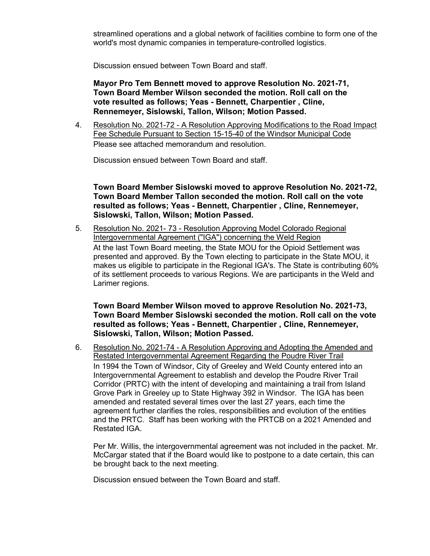streamlined operations and a global network of facilities combine to form one of the world's most dynamic companies in temperature-controlled logistics.

Discussion ensued between Town Board and staff.

**Mayor Pro Tem Bennett moved to approve Resolution No. 2021-71, Town Board Member Wilson seconded the motion. Roll call on the vote resulted as follows; Yeas - Bennett, Charpentier , Cline, Rennemeyer, Sislowski, Tallon, Wilson; Motion Passed.**

4. Resolution No. 2021-72 - A Resolution Approving Modifications to the Road Impact Fee Schedule Pursuant to Section 15-15-40 of the Windsor Municipal Code Please see attached memorandum and resolution.

Discussion ensued between Town Board and staff.

**Town Board Member Sislowski moved to approve Resolution No. 2021-72, Town Board Member Tallon seconded the motion. Roll call on the vote resulted as follows; Yeas - Bennett, Charpentier , Cline, Rennemeyer, Sislowski, Tallon, Wilson; Motion Passed.**

5. Resolution No. 2021- 73 - Resolution Approving Model Colorado Regional Intergovernmental Agreement ("IGA") concerning the Weld Region At the last Town Board meeting, the State MOU for the Opioid Settlement was presented and approved. By the Town electing to participate in the State MOU, it makes us eligible to participate in the Regional IGA's. The State is contributing 60% of its settlement proceeds to various Regions. We are participants in the Weld and Larimer regions.

**Town Board Member Wilson moved to approve Resolution No. 2021-73, Town Board Member Sislowski seconded the motion. Roll call on the vote resulted as follows; Yeas - Bennett, Charpentier , Cline, Rennemeyer, Sislowski, Tallon, Wilson; Motion Passed.**

6. Resolution No. 2021-74 - A Resolution Approving and Adopting the Amended and Restated Intergovernmental Agreement Regarding the Poudre River Trail In 1994 the Town of Windsor, City of Greeley and Weld County entered into an Intergovernmental Agreement to establish and develop the Poudre River Trail Corridor (PRTC) with the intent of developing and maintaining a trail from Island Grove Park in Greeley up to State Highway 392 in Windsor. The IGA has been amended and restated several times over the last 27 years, each time the agreement further clarifies the roles, responsibilities and evolution of the entities and the PRTC. Staff has been working with the PRTCB on a 2021 Amended and Restated IGA.

Per Mr. Willis, the intergovernmental agreement was not included in the packet. Mr. McCargar stated that if the Board would like to postpone to a date certain, this can be brought back to the next meeting.

Discussion ensued between the Town Board and staff.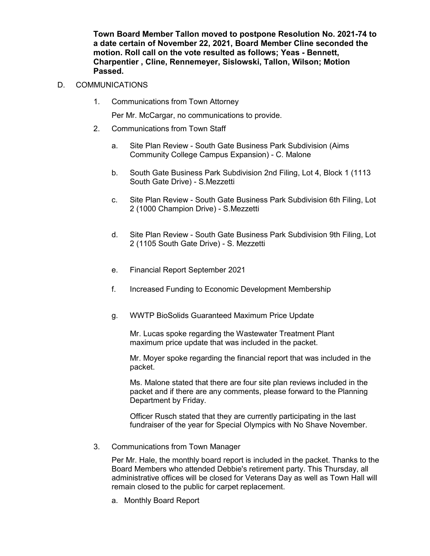**Town Board Member Tallon moved to postpone Resolution No. 2021-74 to a date certain of November 22, 2021, Board Member Cline seconded the motion. Roll call on the vote resulted as follows; Yeas - Bennett, Charpentier , Cline, Rennemeyer, Sislowski, Tallon, Wilson; Motion Passed.**

# D. COMMUNICATIONS

1. Communications from Town Attorney

Per Mr. McCargar, no communications to provide.

- 2. Communications from Town Staff
	- a. Site Plan Review South Gate Business Park Subdivision (Aims Community College Campus Expansion) - C. Malone
	- b. South Gate Business Park Subdivision 2nd Filing, Lot 4, Block 1 (1113 South Gate Drive) - S.Mezzetti
	- c. Site Plan Review South Gate Business Park Subdivision 6th Filing, Lot 2 (1000 Champion Drive) - S.Mezzetti
	- d. Site Plan Review South Gate Business Park Subdivision 9th Filing, Lot 2 (1105 South Gate Drive) - S. Mezzetti
	- e. Financial Report September 2021
	- f. Increased Funding to Economic Development Membership
	- g. WWTP BioSolids Guaranteed Maximum Price Update

Mr. Lucas spoke regarding the Wastewater Treatment Plant maximum price update that was included in the packet.

Mr. Moyer spoke regarding the financial report that was included in the packet.

Ms. Malone stated that there are four site plan reviews included in the packet and if there are any comments, please forward to the Planning Department by Friday.

Officer Rusch stated that they are currently participating in the last fundraiser of the year for Special Olympics with No Shave November.

3. Communications from Town Manager

Per Mr. Hale, the monthly board report is included in the packet. Thanks to the Board Members who attended Debbie's retirement party. This Thursday, all administrative offices will be closed for Veterans Day as well as Town Hall will remain closed to the public for carpet replacement.

a. Monthly Board Report